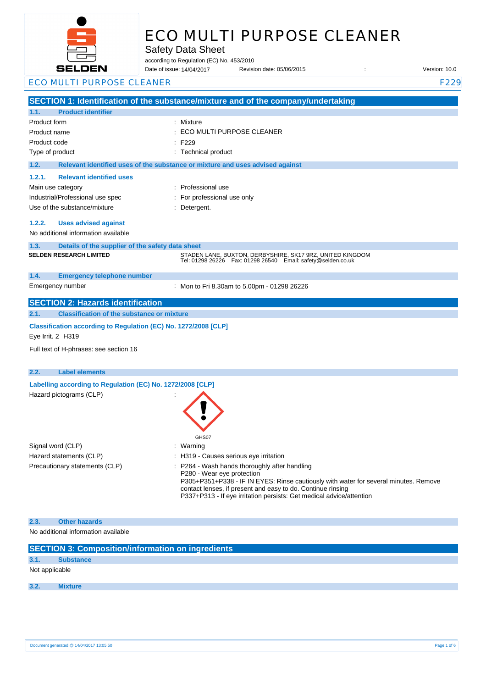

# ECO MULTI PURPOSE CLEANER

Safety Data Sheet

according to Regulation (EC) No. 453/2010

Date of issue: Revision date: 05/06/2015 : Version: 10.0 14/04/2017

ECO MULTI PURPOSE CLEANER F229

**SECTION 1: Identification of the substance/mixture and of the company/undertaking 1.1. Product identifier** Product form : Nixture : Mixture Product name : Product code : Type of product Type of product in the set of the set of the set of the set of the set of the set of the set of the set of the set of the set of the set of the set of the set of the set of the set of the set of the set of **1.2. Relevant identified uses of the substance or mixture and uses advised against 1.2.1. Relevant identified uses**  Main use category **intervalled** and the category of the category of the category of the category of the category Industrial/Professional use spec : For professional use only Use of the substance/mixture **in the substance** in the substance of the substance in the substance of the substance in the substance in the substance in the substance in the substance in the substance in the substance in t **1.2.2. Uses advised against** No additional information available **1.3. Details of the supplier of the safety data sheet 1.4. Emergency telephone number** Emergency number : **SECTION 2: Hazards identification 2.1. Classification of the substance or mixture Classification according to Regulation (EC) No. 1272/2008 [CLP]** Eye Irrit. 2 H319 Full text of H-phrases: see section 16 **2.2. Label elements Labelling according to Regulation (EC) No. 1272/2008 [CLP]** Hazard pictograms (CLP) : GHS<sub>07</sub> Signal word (CLP)  $\qquad \qquad$ : Warning Hazard statements (CLP)  $\qquad \qquad$ : H319 - Causes serious eye irritation Precautionary statements (CLP) : P264 - Wash hands thoroughly after handling P280 - Wear eye protection P305+P351+P338 - IF IN EYES: Rinse cautiously with water for several minutes. Remove contact lenses, if present and easy to do. Continue rinsing P337+P313 - If eye irritation persists: Get medical advice/attention **2.3. Other hazards** No additional information available ECO MULTI PURPOSE CLEANER : F229 **SELDEN RESEARCH LIMITED** STADEN LANE, BUXTON, DERBYSHIRE, SK17 9RZ, UNITED KINGDOM Tel: 01298 26226 Fax: 01298 26540 Email: safety@selden.co.uk Mon to Fri 8.30am to 5.00pm - 01298 26226

**SECTION 3: Composition/information on ingredients 3.1. Substance** Not applicable

**3.2. Mixture**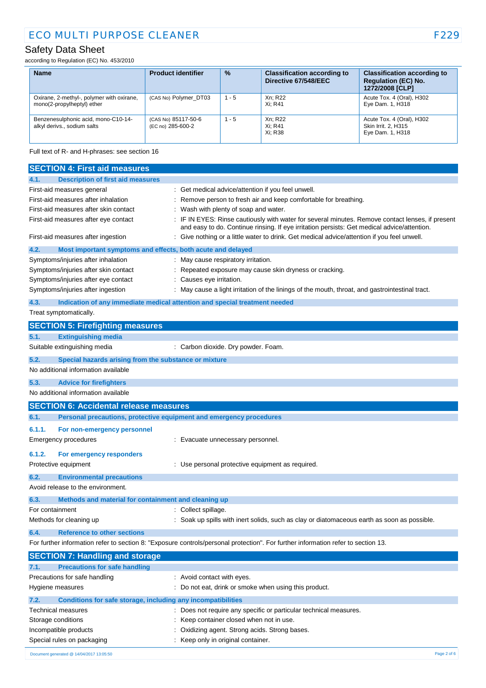# ECO MULTI PURPOSE CLEANER F229

# Safety Data Sheet

according to Regulation (EC) No. 453/2010

| <b>Name</b>                                                             | <b>Product identifier</b>                | $\frac{9}{6}$ | <b>Classification according to</b><br>Directive 67/548/EEC | <b>Classification according to</b><br><b>Regulation (EC) No.</b><br>1272/2008 [CLP] |
|-------------------------------------------------------------------------|------------------------------------------|---------------|------------------------------------------------------------|-------------------------------------------------------------------------------------|
| Oxirane, 2-methyl-, polymer with oxirane,<br>mono(2-propylheptyl) ether | (CAS No) Polymer DT03                    | $1 - 5$       | Xn: R22<br>Xi: R41                                         | Acute Tox. 4 (Oral), H302<br>Eye Dam. 1, H318                                       |
| Benzenesulphonic acid, mono-C10-14-<br>alkyl derivs., sodium salts      | (CAS No) 85117-50-6<br>(EC no) 285-600-2 | $1 - 5$       | Xn: R22<br>Xi: R41<br>Xi: R38                              | Acute Tox. 4 (Oral), H302<br>Skin Irrit. 2, H315<br>Eye Dam. 1, H318                |

Full text of R- and H-phrases: see section 16

| <b>SECTION 4: First aid measures</b>                                        |                                                                                                                                                                                               |
|-----------------------------------------------------------------------------|-----------------------------------------------------------------------------------------------------------------------------------------------------------------------------------------------|
| <b>Description of first aid measures</b><br>4.1.                            |                                                                                                                                                                                               |
| First-aid measures general                                                  | : Get medical advice/attention if you feel unwell.                                                                                                                                            |
| First-aid measures after inhalation                                         | Remove person to fresh air and keep comfortable for breathing.                                                                                                                                |
| First-aid measures after skin contact                                       | : Wash with plenty of soap and water.                                                                                                                                                         |
| First-aid measures after eye contact                                        | IF IN EYES: Rinse cautiously with water for several minutes. Remove contact lenses, if present<br>and easy to do. Continue rinsing. If eye irritation persists: Get medical advice/attention. |
| First-aid measures after ingestion                                          | : Give nothing or a little water to drink. Get medical advice/attention if you feel unwell.                                                                                                   |
| Most important symptoms and effects, both acute and delayed<br>4.2.         |                                                                                                                                                                                               |
| Symptoms/injuries after inhalation                                          | : May cause respiratory irritation.                                                                                                                                                           |
| Symptoms/injuries after skin contact                                        | : Repeated exposure may cause skin dryness or cracking.                                                                                                                                       |
| Symptoms/injuries after eye contact                                         | : Causes eye irritation.                                                                                                                                                                      |
| Symptoms/injuries after ingestion                                           | : May cause a light irritation of the linings of the mouth, throat, and gastrointestinal tract.                                                                                               |
| 4.3.                                                                        | Indication of any immediate medical attention and special treatment needed                                                                                                                    |
| Treat symptomatically.                                                      |                                                                                                                                                                                               |
| <b>SECTION 5: Firefighting measures</b>                                     |                                                                                                                                                                                               |
| 5.1.<br><b>Extinguishing media</b>                                          |                                                                                                                                                                                               |
| Suitable extinguishing media                                                | : Carbon dioxide. Dry powder. Foam.                                                                                                                                                           |
| 5.2.<br>Special hazards arising from the substance or mixture               |                                                                                                                                                                                               |
| No additional information available                                         |                                                                                                                                                                                               |
| 5.3.<br><b>Advice for firefighters</b>                                      |                                                                                                                                                                                               |
| No additional information available                                         |                                                                                                                                                                                               |
| <b>SECTION 6: Accidental release measures</b>                               |                                                                                                                                                                                               |
|                                                                             |                                                                                                                                                                                               |
| 6.1.<br>Personal precautions, protective equipment and emergency procedures |                                                                                                                                                                                               |
| 6.1.1.                                                                      |                                                                                                                                                                                               |
| For non-emergency personnel<br>Emergency procedures                         | : Evacuate unnecessary personnel.                                                                                                                                                             |
|                                                                             |                                                                                                                                                                                               |
| 6.1.2.<br>For emergency responders                                          |                                                                                                                                                                                               |
| Protective equipment                                                        | : Use personal protective equipment as required.                                                                                                                                              |
| 6.2.<br><b>Environmental precautions</b>                                    |                                                                                                                                                                                               |
| Avoid release to the environment.                                           |                                                                                                                                                                                               |
| 6.3.<br>Methods and material for containment and cleaning up                |                                                                                                                                                                                               |
| For containment                                                             | : Collect spillage.                                                                                                                                                                           |
| Methods for cleaning up                                                     | : Soak up spills with inert solids, such as clay or diatomaceous earth as soon as possible.                                                                                                   |
| 6.4.<br><b>Reference to other sections</b>                                  |                                                                                                                                                                                               |
|                                                                             | For further information refer to section 8: "Exposure controls/personal protection". For further information refer to section 13.                                                             |
| <b>SECTION 7: Handling and storage</b>                                      |                                                                                                                                                                                               |
| <b>Precautions for safe handling</b><br>7.1.                                |                                                                                                                                                                                               |
| Precautions for safe handling                                               | : Avoid contact with eyes.                                                                                                                                                                    |
| Hygiene measures                                                            | : Do not eat, drink or smoke when using this product.                                                                                                                                         |
| 7.2.<br>Conditions for safe storage, including any incompatibilities        |                                                                                                                                                                                               |
| Technical measures                                                          | : Does not require any specific or particular technical measures.                                                                                                                             |
| Storage conditions                                                          | Keep container closed when not in use.                                                                                                                                                        |
| Incompatible products<br>Special rules on packaging                         | Oxidizing agent. Strong acids. Strong bases.<br>Keep only in original container.                                                                                                              |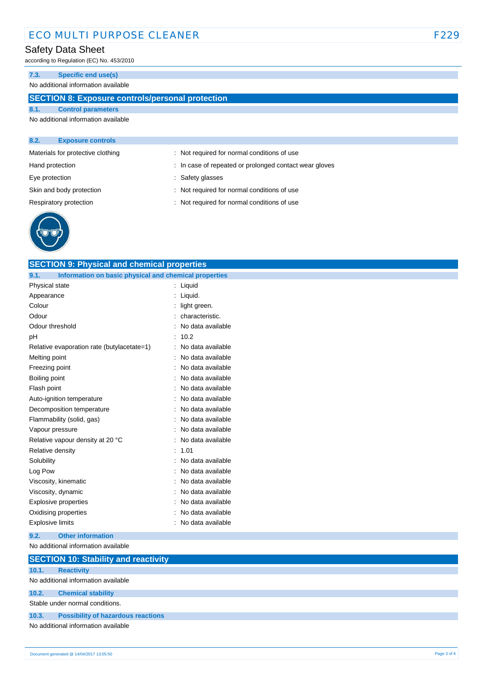# ECO MULTI PURPOSE CLEANER F229

## Safety Data Sheet

according to Regulation (EC) No. 453/2010

#### **7.3. Specific end use(s)**

#### No additional information available

### **SECTION 8: Exposure controls/personal protection**

**SECTION 9: Physical and chemical properties**

#### **8.1. Control parameters** No additional information available

| 8.2.           | <b>Exposure controls</b>          |                                                      |
|----------------|-----------------------------------|------------------------------------------------------|
|                | Materials for protective clothing | : Not required for normal conditions of use          |
|                | Hand protection                   | In case of repeated or prolonged contact wear gloves |
| Eye protection |                                   | Safety glasses                                       |
|                | Skin and body protection          | : Not required for normal conditions of use          |
|                | Respiratory protection            | : Not required for normal conditions of use          |
|                |                                   |                                                      |



| 9.1.           | Information on basic physical and chemical properties |   |                   |             |
|----------------|-------------------------------------------------------|---|-------------------|-------------|
| Physical state |                                                       |   | : Liquid          |             |
| Appearance     |                                                       | ÷ | Liquid.           |             |
| Colour         |                                                       |   | light green.      |             |
| Odour          |                                                       |   | characteristic.   |             |
|                | Odour threshold                                       |   | No data available |             |
| рH             |                                                       |   | 10.2              |             |
|                | Relative evaporation rate (butylacetate=1)            |   | No data available |             |
| Melting point  |                                                       |   | No data available |             |
| Freezing point |                                                       |   | No data available |             |
| Boiling point  |                                                       |   | No data available |             |
| Flash point    |                                                       |   | No data available |             |
|                | Auto-ignition temperature                             |   | No data available |             |
|                | Decomposition temperature                             |   | No data available |             |
|                | Flammability (solid, gas)                             |   | No data available |             |
|                | Vapour pressure                                       |   | No data available |             |
|                | Relative vapour density at 20 °C                      |   | No data available |             |
|                | Relative density                                      |   | 1.01              |             |
| Solubility     |                                                       |   | No data available |             |
| Log Pow        |                                                       |   | No data available |             |
|                | Viscosity, kinematic                                  |   | No data available |             |
|                | Viscosity, dynamic                                    |   | No data available |             |
|                | Explosive properties                                  |   | No data available |             |
|                | Oxidising properties                                  |   | No data available |             |
|                | <b>Explosive limits</b>                               |   | No data available |             |
| 9.2.           | <b>Other information</b>                              |   |                   |             |
|                | No additional information available                   |   |                   |             |
|                | <b>SECTION 10: Stability and reactivity</b>           |   |                   |             |
| 10.1.          | <b>Reactivity</b>                                     |   |                   |             |
|                | No additional information available                   |   |                   |             |
| 10.2.          | <b>Chemical stability</b>                             |   |                   |             |
|                | Stable under normal conditions.                       |   |                   |             |
| 10.3.          | <b>Possibility of hazardous reactions</b>             |   |                   |             |
|                | No additional information available                   |   |                   |             |
|                |                                                       |   |                   | Page 3 of 6 |
|                | Document generated @ 14/04/2017 13:05:50              |   |                   |             |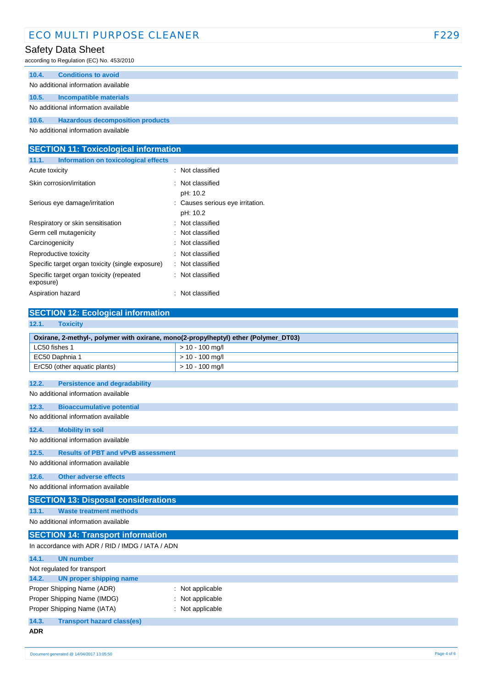| ECO MULTI PURPOSE CLEANER |  |
|---------------------------|--|
|---------------------------|--|

# Safety Data Sheet

according to Regulation (EC) No. 453/2010

| 10.4. | <b>Conditions to avoid</b>              |
|-------|-----------------------------------------|
|       | No additional information available     |
| 10.5. | Incompatible materials                  |
|       | No additional information available     |
| 10.6. | <b>Hazardous decomposition products</b> |
|       |                                         |

No additional information available

| <b>SECTION 11: Toxicological information</b>          |                                              |  |
|-------------------------------------------------------|----------------------------------------------|--|
| Information on toxicological effects<br>11.1.         |                                              |  |
| Acute toxicity                                        | : Not classified                             |  |
| Skin corrosion/irritation                             | : Not classified<br>pH: 10.2                 |  |
| Serious eye damage/irritation                         | : Causes serious eye irritation.<br>pH: 10.2 |  |
| Respiratory or skin sensitisation                     | : Not classified                             |  |
| Germ cell mutagenicity                                | : Not classified                             |  |
| Carcinogenicity                                       | : Not classified                             |  |
| Reproductive toxicity                                 | : Not classified                             |  |
| Specific target organ toxicity (single exposure)      | : Not classified                             |  |
| Specific target organ toxicity (repeated<br>exposure) | : Not classified                             |  |
| Aspiration hazard                                     | Not classified<br>÷                          |  |

# **SECTION 12: Ecological information**

| 12.1.<br><b>Toxicity</b>                                                            |                   |  |  |  |
|-------------------------------------------------------------------------------------|-------------------|--|--|--|
| Oxirane, 2-methyl-, polymer with oxirane, mono(2-propylheptyl) ether (Polymer_DT03) |                   |  |  |  |
| LC50 fishes 1                                                                       | $> 10 - 100$ mg/l |  |  |  |
| EC50 Daphnia 1                                                                      | $> 10 - 100$ mg/l |  |  |  |
| ErC50 (other aquatic plants)                                                        | $> 10 - 100$ mg/l |  |  |  |
| <b>Persistence and degradability</b><br>12.2.                                       |                   |  |  |  |
| No additional information available                                                 |                   |  |  |  |
| 12.3.<br><b>Bioaccumulative potential</b>                                           |                   |  |  |  |
| No additional information available                                                 |                   |  |  |  |
| <b>Mobility in soil</b><br>12.4.                                                    |                   |  |  |  |
| No additional information available                                                 |                   |  |  |  |
| <b>Results of PBT and vPvB assessment</b><br>12.5.                                  |                   |  |  |  |
| No additional information available                                                 |                   |  |  |  |
| <b>Other adverse effects</b><br>12.6.                                               |                   |  |  |  |
| No additional information available                                                 |                   |  |  |  |
| <b>SECTION 13: Disposal considerations</b>                                          |                   |  |  |  |
| <b>Waste treatment methods</b><br>13.1.                                             |                   |  |  |  |
| No additional information available                                                 |                   |  |  |  |
| <b>SECTION 14: Transport information</b>                                            |                   |  |  |  |
| In accordance with ADR / RID / IMDG / IATA / ADN                                    |                   |  |  |  |
| 14.1.<br><b>UN number</b>                                                           |                   |  |  |  |
| Not regulated for transport                                                         |                   |  |  |  |
| 14.2.<br><b>UN proper shipping name</b>                                             |                   |  |  |  |
| Proper Shipping Name (ADR)                                                          | Not applicable    |  |  |  |
| Proper Shipping Name (IMDG)                                                         | Not applicable    |  |  |  |
| Proper Shipping Name (IATA)                                                         | Not applicable    |  |  |  |
| 14.3.<br><b>Transport hazard class(es)</b>                                          |                   |  |  |  |
| <b>ADR</b>                                                                          |                   |  |  |  |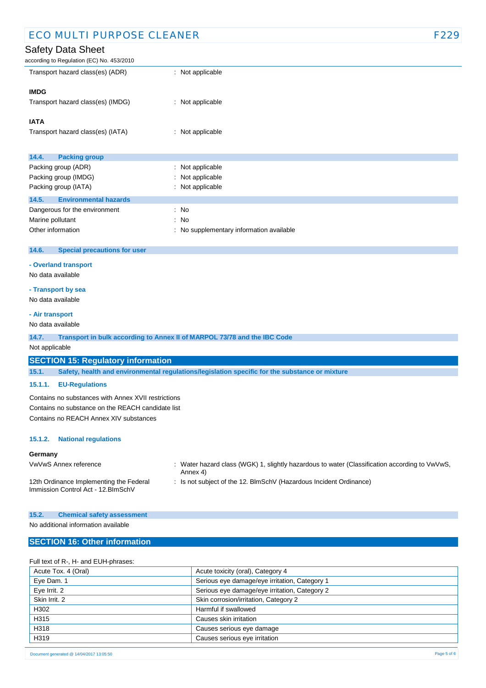| <b>ECO MULTI PURPOSE CLEANER</b>                                               |                                                                                                           | F229 |
|--------------------------------------------------------------------------------|-----------------------------------------------------------------------------------------------------------|------|
| <b>Safety Data Sheet</b>                                                       |                                                                                                           |      |
| according to Regulation (EC) No. 453/2010                                      |                                                                                                           |      |
| Transport hazard class(es) (ADR)                                               | : Not applicable                                                                                          |      |
| <b>IMDG</b>                                                                    |                                                                                                           |      |
| Transport hazard class(es) (IMDG)                                              | : Not applicable                                                                                          |      |
| <b>IATA</b>                                                                    |                                                                                                           |      |
| Transport hazard class(es) (IATA)                                              | : Not applicable                                                                                          |      |
| 14.4.<br><b>Packing group</b>                                                  |                                                                                                           |      |
| Packing group (ADR)                                                            | Not applicable                                                                                            |      |
| Packing group (IMDG)                                                           | Not applicable                                                                                            |      |
| Packing group (IATA)                                                           | Not applicable                                                                                            |      |
| 14.5.<br><b>Environmental hazards</b>                                          |                                                                                                           |      |
| Dangerous for the environment                                                  | : No                                                                                                      |      |
| Marine pollutant                                                               | No                                                                                                        |      |
| Other information                                                              | No supplementary information available                                                                    |      |
| 14.6.<br><b>Special precautions for user</b>                                   |                                                                                                           |      |
| - Overland transport                                                           |                                                                                                           |      |
| No data available                                                              |                                                                                                           |      |
| - Transport by sea                                                             |                                                                                                           |      |
| No data available                                                              |                                                                                                           |      |
| - Air transport                                                                |                                                                                                           |      |
| No data available                                                              |                                                                                                           |      |
| 14.7.                                                                          | Transport in bulk according to Annex II of MARPOL 73/78 and the IBC Code                                  |      |
| Not applicable                                                                 |                                                                                                           |      |
| <b>SECTION 15: Regulatory information</b>                                      |                                                                                                           |      |
| 15.1.                                                                          | Safety, health and environmental regulations/legislation specific for the substance or mixture            |      |
| 15.1.1.<br><b>EU-Regulations</b>                                               |                                                                                                           |      |
| Contains no substances with Annex XVII restrictions                            |                                                                                                           |      |
| Contains no substance on the REACH candidate list                              |                                                                                                           |      |
| Contains no REACH Annex XIV substances                                         |                                                                                                           |      |
| <b>National regulations</b><br>15.1.2.                                         |                                                                                                           |      |
| Germany                                                                        |                                                                                                           |      |
| VwVwS Annex reference                                                          | : Water hazard class (WGK) 1, slightly hazardous to water (Classification according to VwVwS,<br>Annex 4) |      |
| 12th Ordinance Implementing the Federal<br>Immission Control Act - 12. BlmSchV | : Is not subject of the 12. BlmSchV (Hazardous Incident Ordinance)                                        |      |

#### **15.2. Chemical safety assessment**

No additional information available

### **SECTION 16: Other information**

### Full text of R-, H- and EUH-phrases:

| Acute Tox. 4 (Oral) | Acute toxicity (oral), Category 4             |  |
|---------------------|-----------------------------------------------|--|
| Eye Dam. 1          | Serious eye damage/eye irritation, Category 1 |  |
| Eye Irrit. 2        | Serious eye damage/eye irritation, Category 2 |  |
| Skin Irrit, 2       | Skin corrosion/irritation, Category 2         |  |
| H302                | Harmful if swallowed                          |  |
| H315                | Causes skin irritation                        |  |
| H318                | Causes serious eye damage                     |  |
| H319                | Causes serious eye irritation                 |  |